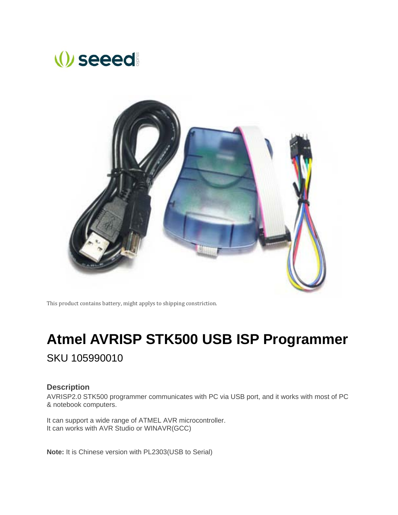## *seeed*



This product contains battery, might applys to shipping constriction.

# **Atmel AVRISP STK500 USB ISP Programmer**

SKU 105990010

#### **Description**

AVRISP2.0 STK500 programmer communicates with PC via USB port, and it works with most of PC & notebook computers.

It can support a wide range of ATMEL AVR microcontroller. It can works with AVR Studio or WINAVR(GCC)

**Note:** It is Chinese version with PL2303(USB to Serial)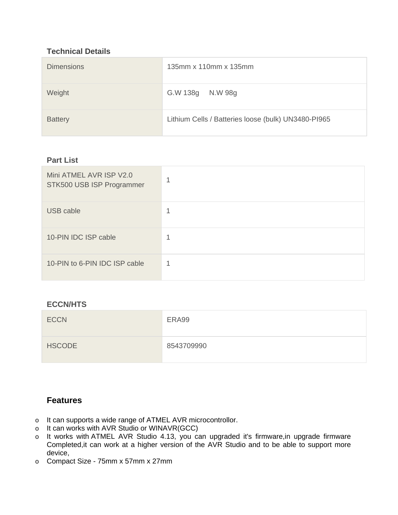## **Technical Details**

| <b>Dimensions</b> | 135mm x 110mm x 135mm                               |
|-------------------|-----------------------------------------------------|
| Weight            | G.W 138g N.W 98g                                    |
| <b>Battery</b>    | Lithium Cells / Batteries loose (bulk) UN3480-PI965 |

### **Part List**

| Mini ATMEL AVR ISP V2.0<br>STK500 USB ISP Programmer | и |
|------------------------------------------------------|---|
| <b>USB cable</b>                                     |   |
| 10-PIN IDC ISP cable                                 |   |
| 10-PIN to 6-PIN IDC ISP cable                        |   |

## **ECCN/HTS**

| <b>ECCN</b>   | ERA99      |
|---------------|------------|
| <b>HSCODE</b> | 8543709990 |

## **Features**

- o It can supports a wide range of ATMEL AVR microcontrollor.
- o It can works with AVR Studio or WINAVR(GCC)
- o It works with ATMEL AVR Studio 4.13, you can upgraded it's firmware,in upgrade firmware Completed,it can work at a higher version of the AVR Studio and to be able to support more device,
- o Compact Size 75mm x 57mm x 27mm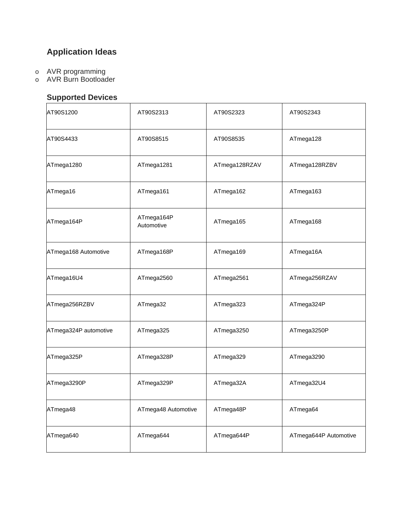## **Application Ideas**

- o AVR programming
- o AVR Burn Bootloader

## **Supported Devices**

| AT90S1200             | AT90S2313                | AT90S2323     | AT90S2343             |
|-----------------------|--------------------------|---------------|-----------------------|
| AT90S4433             | AT90S8515                | AT90S8535     | ATmega128             |
| ATmega1280            | ATmega1281               | ATmega128RZAV | ATmega128RZBV         |
| ATmega16              | ATmega161                | ATmega162     | ATmega163             |
| ATmega164P            | ATmega164P<br>Automotive | ATmega165     | ATmega168             |
| ATmega168 Automotive  | ATmega168P               | ATmega169     | ATmega16A             |
| ATmega16U4            | ATmega2560               | ATmega2561    | ATmega256RZAV         |
| ATmega256RZBV         | ATmega32                 | ATmega323     | ATmega324P            |
| ATmega324P automotive | ATmega325                | ATmega3250    | ATmega3250P           |
| ATmega325P            | ATmega328P               | ATmega329     | ATmega3290            |
| ATmega3290P           | ATmega329P               | ATmega32A     | ATmega32U4            |
| ATmega48              | ATmega48 Automotive      | ATmega48P     | ATmega64              |
| ATmega640             | ATmega644                | ATmega644P    | ATmega644P Automotive |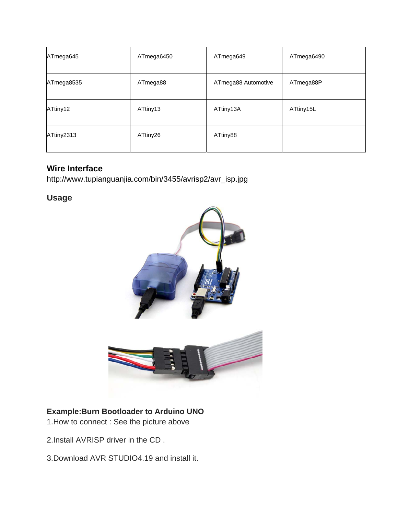| ATmega645  | ATmega6450 | ATmega649           | ATmega6490 |
|------------|------------|---------------------|------------|
| ATmega8535 | ATmega88   | ATmega88 Automotive | ATmega88P  |
| ATtiny12   | ATtiny13   | ATtiny13A           | ATtiny15L  |
| ATtiny2313 | ATtiny26   | ATtiny88            |            |

## **Wire Interface**

http://www.tupianguanjia.com/bin/3455/avrisp2/avr\_isp.jpg

**Usage**



## **Example:Burn Bootloader to Arduino UNO**

1.How to connect : See the picture above

2.Install AVRISP driver in the CD .

3.Download AVR STUDIO4.19 and install it.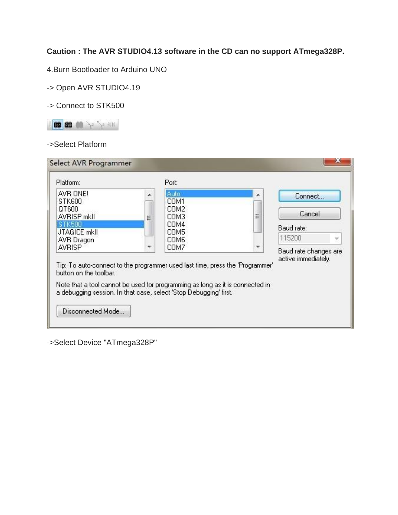**Caution : The AVR STUDIO4.13 software in the CD can no support ATmega328P.**

4.Burn Bootloader to Arduino UNO

-> Open AVR STUDIO4.19

-> Connect to STK500



## ->Select Platform

| AVR ONE!<br><b>STK600</b>                                                                                                                                                                                                                                     |   | Auto<br>COM1 | Ä | Connect               |
|---------------------------------------------------------------------------------------------------------------------------------------------------------------------------------------------------------------------------------------------------------------|---|--------------|---|-----------------------|
| QT600<br><b>AVRISP mkll</b>                                                                                                                                                                                                                                   | Ξ | COM2<br>COM3 | Ħ | Cancel                |
| STK500<br><b>JTAGICE mkll</b>                                                                                                                                                                                                                                 |   | COM4<br>COM5 |   | Baud rate:            |
| AVR Dragon                                                                                                                                                                                                                                                    |   | COM6         |   | 115200                |
| <b>AVRISP</b>                                                                                                                                                                                                                                                 |   | COM7         |   | Baud rate changes are |
| Tip: To auto-connect to the programmer used last time, press the 'Programmer'<br>button on the toolbar.<br>Note that a tool cannot be used for programming as long as it is connected in<br>a debugging session. In that case, select 'Stop Debugging' first. |   |              |   | active immediately.   |

->Select Device "ATmega328P"